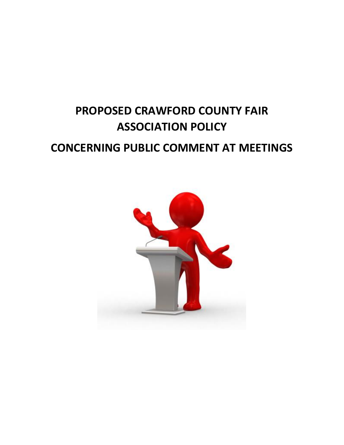## **PROPOSED CRAWFORD COUNTY FAIR ASSOCIATION POLICY CONCERNING PUBLIC COMMENT AT MEETINGS**

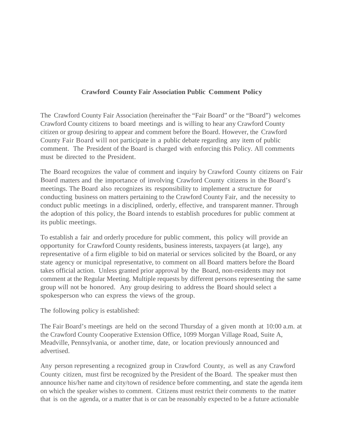## **Crawford County Fair Association Public Comment Policy**

The Crawford County Fair Association (hereinafter the "Fair Board" or the "Board") welcomes Crawford County citizens to board meetings and is willing to hear any Crawford County citizen or group desiring to appear and comment before the Board. However, the Crawford County Fair Board will not participate in a public debate regarding any item of public comment. The President of the Board is charged with enforcing this Policy. All comments must be directed to the President.

The Board recognizes the value of comment and inquiry by Crawford County citizens on Fair Board matters and the importance of involving Crawford County citizens in the Board's meetings. The Board also recognizes its responsibility to implement a structure for conducting business on matters pertaining to the Crawford County Fair, and the necessity to conduct public meetings in a disciplined, orderly, effective, and transparent manner. Through the adoption of this policy, the Board intends to establish procedures for public comment at its public meetings.

To establish a fair and orderly procedure for public comment, this policy will provide an opportunity for Crawford County residents, business interests, taxpayers (at large), any representative of a firm eligible to bid on material or services solicited by the Board, or any state agency or municipal representative, to comment on all Board matters before the Board takes official action. Unless granted prior approval by the Board, non-residents may not comment at the Regular Meeting. Multiple requests by different persons representing the same group will not be honored. Any group desiring to address the Board should select a spokesperson who can express the views of the group.

The following policy is established:

The Fair Board's meetings are held on the second Thursday of a given month at 10:00 a.m. at the Crawford County Cooperative Extension Office, 1099 Morgan Village Road, Suite A, Meadville, Pennsylvania, or another time, date, or location previously announced and advertised.

Any person representing a recognized group in Crawford County, as well as any Crawford County citizen, must first be recognized by the President of the Board. The speaker must then announce his/her name and city/town of residence before commenting, and state the agenda item on which the speaker wishes to comment. Citizens must restrict their comments to the matter that is on the agenda, or a matter that is or can be reasonably expected to be a future actionable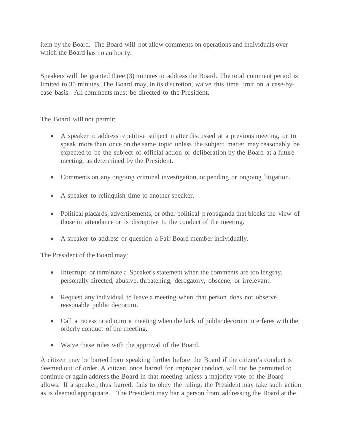item by the Board. The Board will not allow comments on operations and individuals over which the Board has no authority.

Speakers will be granted three (3) minutes to address the Board. The total comment period is limited to 30 minutes. The Board may, in its discretion, waive this time limit on a case-bycase basis. All comments must be directed to the President.

The Board will not permit:

- A speaker to address repetitive subject matter discussed at a previous meeting, or to speak more than once on the same topic unless the subject matter may reasonably be expected to be the subject of official action or deliberation by the Board at a future meeting, as determined by the President.
- Comments on any ongoing criminal investigation, or pending or ongoing litigation.
- A speaker to relinquish time to another speaker.
- Political placards, advertisements, or other political propaganda that blocks the view of those in attendance or is disruptive to the conduct of the meeting.
- A speaker to address or question a Fair Board member individually.

The President of the Board may:

- Interrupt or terminate a Speaker's statement when the comments are too lengthy, personally directed, abusive, threatening, derogatory, obscene, or irrelevant.
- Request any individual to leave a meeting when that person does not observe reasonable public decorum.
- Call a recess or adjourn a meeting when the lack of public decorum interferes with the orderly conduct of the meeting.
- Waive these rules with the approval of the Board.

A citizen may be barred from speaking further before the Board if the citizen's conduct is deemed out of order. A citizen, once barred for improper conduct, will not be permitted to continue or again address the Board in that meeting unless a majority vote of the Board allows. If a speaker, thus barred, fails to obey the ruling, the President may take such action as is deemed appropriate. The President may bar a person from addressing the Board at the